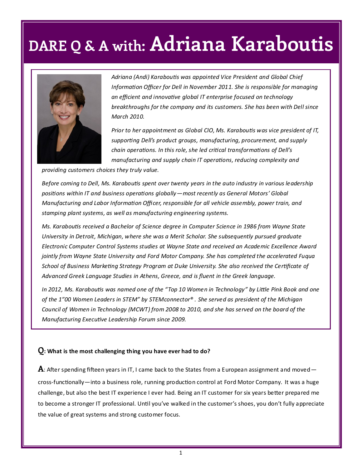## **DARE Q & A with: Adriana Karaboutis**



*Adriana (Andi) Karaboutis was appointed Vice President and Global Chief Information Officer for Dell in November 2011. She is responsible for managing an efficient and innovative global IT enterprise focused on technology breakthroughs for the company and its customers. She has been with Dell since March 2010.*

*Prior to her appointment as Global CIO, Ms. Karaboutis was vice president of IT, supporting Dell's product groups, manufacturing, procurement, and supply chain operations. In this role, she led critical transformations of Dell's manufacturing and supply chain IT operations, reducing complexity and* 

*providing customers choices they truly value.* 

*Before coming to Dell, Ms. Karaboutis spent over twenty years in the auto industry in various leadership positions within IT and business operations globally—most recently as General Motors' Global Manufacturing and Labor Information Officer, responsible for all vehicle assembly, power train, and stamping plant systems, as well as manufacturing engineering systems.* 

*Ms. Karaboutis received a Bachelor of Science degree in Computer Science in 1986 from Wayne State University in Detroit, Michigan, where she was a Merit Scholar. She subsequently pursued graduate Electronic Computer Control Systems studies at Wayne State and received an Academic Excellence Award jointly from Wayne State University and Ford Motor Company. She has completed the accelerated Fuqua School of Business Marketing Strategy Program at Duke University. She also received the Certificate of Advanced Greek Language Studies in Athens, Greece, and is fluent in the Greek language.* 

*In 2012, Ms. Karaboutis was named one of the "Top 10 Women in Technology" by Little Pink Book and one of the 1"00 Women Leaders in STEM" by STEMconnector® . She served as president of the Michigan Council of Women in Technology (MCWT) from 2008 to 2010, and she has served on the board of the Manufacturing Executive Leadership Forum since 2009.* 

#### **Q: What is the most challenging thing you have ever had to do?**

**A**: After spending fifteen years in IT, I came back to the States from a European assignment and moved cross-functionally—into a business role, running production control at Ford Motor Company. It was a huge challenge, but also the best IT experience I ever had. Being an IT customer for six years better prepared me to become a stronger IT professional. Until you've walked in the customer's shoes, you don't fully appreciate the value of great systems and strong customer focus.